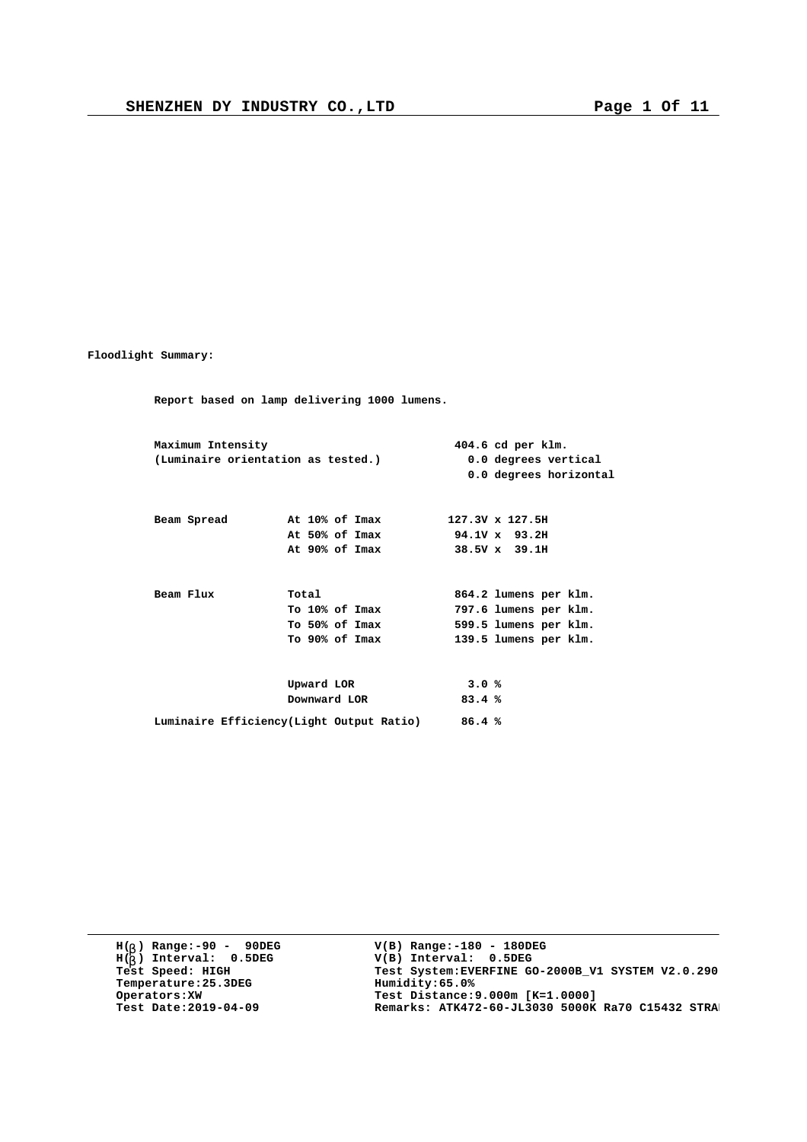**Floodlight Summary:**

**Report based on lamp delivering 1000 lumens. Maximum Intensity 404.6 cd per klm. (Luminaire orientation as tested.) 0.0 degrees vertical 0.0 degrees horizontal Beam Spread At 10% of Imax 127.3V x 127.5H At 50% of Imax 94.1V x 93.2H At 90% of Imax 38.5V x 39.1H** Beam Flux **Total 864.2 lumens per klm.**<br>To 10% of Imax **797.6 lumens per klm. To 10% of Imax 797.6 lumens per klm. To 50% of Imax 599.5 lumens per klm. To 90% of Imax 139.5 lumens per klm. Upward LOR 3.0 % Downward LOR 83.4 % Luminaire Efficiency(Light Output Ratio) 86.4 %**

**H( ) Range:-90 - 90DEG** H(<sub>b</sub>) Range:-90 - 90DE<br>H(<sub>b</sub>) Interval: 0.5DEG **b Temperature:25.3DEG**<br>**Operators:XW**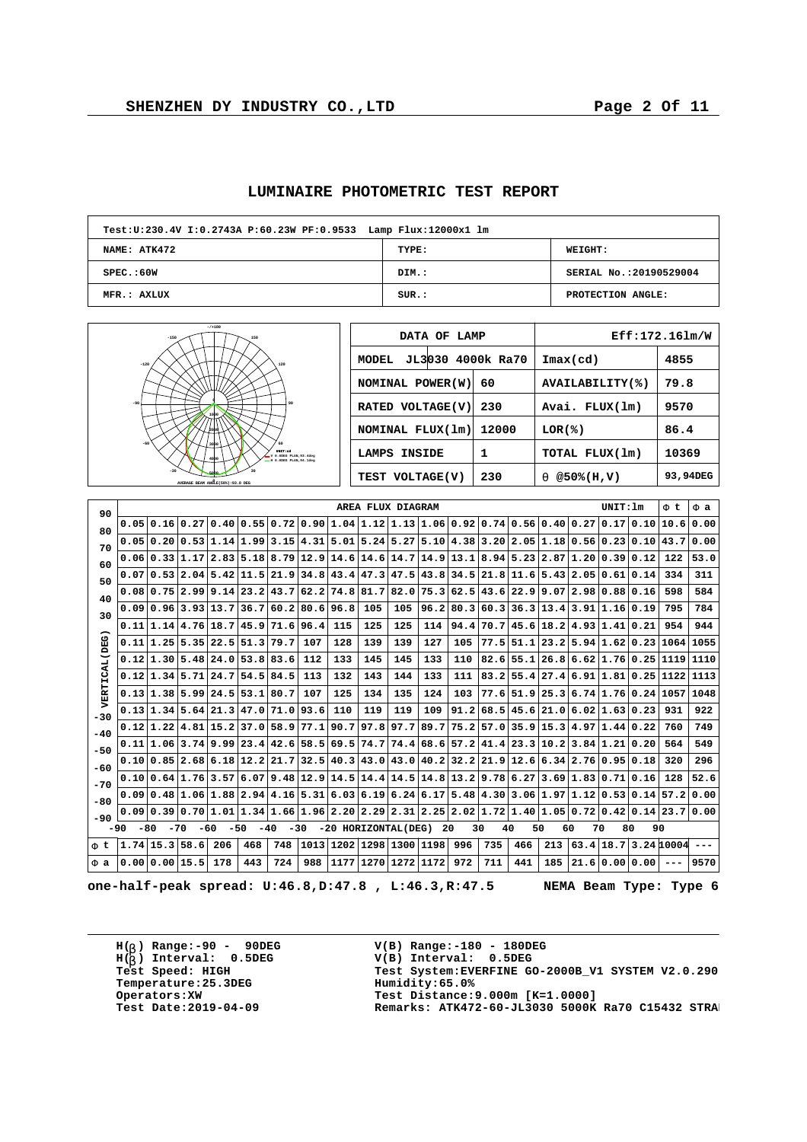|  | LUMINAIRE PHOTOMETRIC TEST REPORT |  |  |  |
|--|-----------------------------------|--|--|--|
|--|-----------------------------------|--|--|--|

| Test: U: 230.4V I: 0.2743A P: 60.23W PF: 0.9533 Lamp Flux: 12000x1 lm |       |                         |  |  |  |  |  |  |  |  |
|-----------------------------------------------------------------------|-------|-------------------------|--|--|--|--|--|--|--|--|
| NAME: ATK472                                                          | TYPE: | <b>WEIGHT:</b>          |  |  |  |  |  |  |  |  |
| SPEC. : 60W                                                           | DIM.: | SERIAL No.: 20190529004 |  |  |  |  |  |  |  |  |
| MFR.: AXLUX                                                           | SUR.: | PROTECTION ANGLE:       |  |  |  |  |  |  |  |  |

| $-7 + 180$<br>$-150$<br>150                                                  | DATA OF LAMP               |       |                             | Eff:172.161m/W |
|------------------------------------------------------------------------------|----------------------------|-------|-----------------------------|----------------|
| $-120$<br>120                                                                | JL3030 4000k Ra70<br>MODEL |       | $\texttt{Imax}(\text{cd})$  | 4855           |
|                                                                              | NOMINAL POWER (W)          | 60    | AVAILABILITY(%)             | 79.8           |
| $-90$<br>90                                                                  | RATED VOLTAGE(V)           | 230   | Avai. FLUX(lm)              | 9570           |
|                                                                              | NOMINAL FLUX(1m)           | 12000 | LOR(8)                      | 86.4           |
| $-60$<br>UNIT:ed<br>V 0.0000 PLAN.93.4dec<br>sono<br>= E 0.0DEG PLAN.94.1dec | LAMPS INSIDE               |       | TOTAL FLUX(1m)              | 10369          |
| $-30$<br>AVERAGE BEAM ANGLE(50%): 93.8 DEG                                   | TEST VOLTAGE(V)            | 230   | $@50*(H,V)$<br>$\mathbf{a}$ | 93,94DEG       |

| 90            |                                                                                                                                    |                |                     |     |                                                                                              |                               |                  |           | AREA FLUX DIAGRAM |      |           |      |                                            |                                  |     |                | UNIT: 1m       |                                 | Ft                                                  | F a  |
|---------------|------------------------------------------------------------------------------------------------------------------------------------|----------------|---------------------|-----|----------------------------------------------------------------------------------------------|-------------------------------|------------------|-----------|-------------------|------|-----------|------|--------------------------------------------|----------------------------------|-----|----------------|----------------|---------------------------------|-----------------------------------------------------|------|
| 80            |                                                                                                                                    |                |                     |     | $0.05 0.16 0.27 0.40 0.55 0.72 0.90 1.04 1.12 1.13 1.06 0.92 0.74 0.56 0.40 0.27 0.17 0.10$  |                               |                  |           |                   |      |           |      |                                            |                                  |     |                |                |                                 | 10.6                                                | 0.00 |
| 70            |                                                                                                                                    |                |                     |     | $0.05 0.20 0.53 1.14 1.99 3.15 4.31 5.01 5.24 5.27 5.10 4.38 3.20 2.05 1.18 0.56 0.23 0.10$  |                               |                  |           |                   |      |           |      |                                            |                                  |     |                |                |                                 | 43.7                                                | 0.00 |
| 60            |                                                                                                                                    | 0.06 0.33 1.17 |                     |     | 2.83 5.18 8.79 12.9 14.6 14.6                                                                |                               |                  |           |                   | 14.7 | 14.9      | 13.1 | 8.94 5.23                                  |                                  |     | 2.87 1.20 0.39 |                | 0.12                            | 122                                                 | 53.0 |
| 50            |                                                                                                                                    |                |                     |     | $0.07$   $0.53$   $2.04$   $5.42$   $11.5$   $21.9$   $34.8$   $43.4$   $47.3$   $47.5$      |                               |                  |           |                   |      | 43.834.5  |      | 21.8 11.6 5.43 2.05 0.61 0.14              |                                  |     |                |                |                                 | 334                                                 | 311  |
| 40            |                                                                                                                                    |                |                     |     | $0.08 0.75 2.99 9.14 23.2 43.7 62.2 74.8 81.7 $                                              |                               |                  |           |                   | 82.0 | 75.3 62.5 |      | 43.6 22.9 9.07 2.98 0.88 0.16              |                                  |     |                |                |                                 | 598                                                 | 584  |
| 30            | 0.09                                                                                                                               |                | 0.96 3.93 13.7      |     | 36.7                                                                                         |                               | $60.2$ 80.6 96.8 |           | 105               | 105  | 96.2      | 80.3 |                                            | 60.3 36.3 13.4 3.91 1.16 0.19    |     |                |                |                                 | 795                                                 | 784  |
|               |                                                                                                                                    |                | 0.11 1.14 4.76 18.7 |     |                                                                                              | $45.9$ 71.6 96.4              |                  | 115       | 125               | 125  | 114       | 94.4 |                                            | $70.7$  45.6 18.2 4.93 1.41 0.21 |     |                |                |                                 | 954                                                 | 944  |
| VERTICAL (DEG |                                                                                                                                    |                |                     |     | 0.11 1.25 5.35 22.5 51.3                                                                     | 79.7                          | 107              | 128       | 139               | 139  | 127       | 105  |                                            | $77.5$ 51.1                      |     |                |                | $23.2$ 5.94 1.62 0.23           | 1064 1055                                           |      |
|               | 0.12                                                                                                                               |                |                     |     | 1.30 5.48 24.0 53.8                                                                          | 83.6                          | 112              | 133       | 145               | 145  | 133       | 110  |                                            | $82.6$ 55.1                      |     |                |                | 26.86.621.760.25                | 1119                                                | 1110 |
|               |                                                                                                                                    |                | 0.12 1.34 5.71 24.7 |     | 54.5                                                                                         | 84.5                          | 113              | 132       | 143               | 144  | 133       | 111  |                                            |                                  |     |                |                | $83.2$ 55.4 27.4 6.91 1.81 0.25 | 1122                                                | 1113 |
|               |                                                                                                                                    |                |                     |     | 0.13 1.38 5.99 24.5 53.1 80.7                                                                |                               | 107              | 125       | 134               | 135  | 124       | 103  |                                            | $77.6$ 51.9                      |     |                |                | 25.36.741.760.24                | 1057                                                | 1048 |
| $-30$         | 0.13                                                                                                                               |                | 1.34 5.64 21.3      |     | 47.0                                                                                         | 71.0                          | 93.6             | 110       | 119               | 119  | 109       | 91.2 | 68.5                                       | 45.6                             |     | 21.0 6.02 1.63 |                | 0.23                            | 931                                                 | 922  |
| $-40$         |                                                                                                                                    |                |                     |     | 0.12 1.22 4.81 15.2 37.0 58.9 77.1                                                           |                               |                  | 90.7      | 97.8              | 97.7 | 89.7      | 75.2 | 57.0   35.9   15.3   4.97   1.44   0.22    |                                  |     |                |                |                                 | 760                                                 | 749  |
| $-50$         |                                                                                                                                    |                |                     |     | 0.11 1.06 3.74 9.99 23.4 42.6 58.5                                                           |                               |                  | 69.5      | 74.7              | 74.4 | 68.6      |      | 57,2 41,4 23,3 10,2 3,84 1,21 0,20         |                                  |     |                |                |                                 | 564                                                 | 549  |
| $-60$         | 0.10                                                                                                                               |                |                     |     | $0.85$   2.68   6.18   12.2   21.7   32.5   40.3                                             |                               |                  |           | 43.0              | 43.0 | 40.2      |      | $32.2$ $21.9$ $12.6$ 6.34 $2.76$ 0.95 0.18 |                                  |     |                |                |                                 | 320                                                 | 296  |
| $-70$         |                                                                                                                                    |                |                     |     | $0.10 0.64 1.76 3.57 6.07 9.48 12.9 14.5 14.4 $                                              |                               |                  |           |                   | 14.5 |           |      | $14.8 13.2 9.78 6.27 3.69 1.83 0.71 0.16$  |                                  |     |                |                |                                 | 128                                                 | 52.6 |
| $-80$         |                                                                                                                                    |                |                     |     | $0.09 0.48 1.06 1.88 2.94 4.16 5.31 6.03 6.19 6.24 6.17 5.48 4.30 3.06 1.97 1.12 0.53 0.14 $ |                               |                  |           |                   |      |           |      |                                            |                                  |     |                |                |                                 | 57.2 0.00                                           |      |
| $-90$         | 0.09                                                                                                                               |                | 0.390.701.01        |     |                                                                                              | 1.34 1.66 1.96 2.20 2.29 2.31 |                  |           |                   |      |           |      |                                            |                                  |     |                |                |                                 | $2.25 2.02 1.72 1.40 1.05 0.72 0.42 0.14 23.7 0.00$ |      |
|               | $-70$<br>$-50$<br>$-40$<br>$-30$<br>-20 HORIZONTAL(DEG)<br>20<br>30<br>40<br>50<br>60<br>70<br>80<br>90<br>$-90$<br>$-80$<br>$-60$ |                |                     |     |                                                                                              |                               |                  |           |                   |      |           |      |                                            |                                  |     |                |                |                                 |                                                     |      |
| Ft            | $1.74$   15.3  58.6                                                                                                                |                |                     | 206 | 468                                                                                          | 748                           |                  | 1013 1202 | 1298              | 1300 | 1198      | 996  | 735                                        | 466                              | 213 |                |                |                                 | $63.4$   18.7   3.24   10004                        |      |
| Fa            | 0.00 0.00 15.5                                                                                                                     |                |                     | 178 | 443                                                                                          | 724                           | 988              | 1177      | 1270              | 1272 | 1172      | 972  | 711                                        | 441                              | 185 |                | 21.6 0.00 0.00 |                                 |                                                     | 9570 |

**one-half-peak spread: U:46.8,D:47.8 , L:46.3,R:47.5 NEMA Beam Type: Type 6**

**H( ) Range:-90 - 90DEG** H(<sub>b</sub>) Range:-90 - 90DE<br>H(<sub>b</sub>) Interval: 0.5DEG **b Temperature:25.3DEG**<br>**Operators:XW**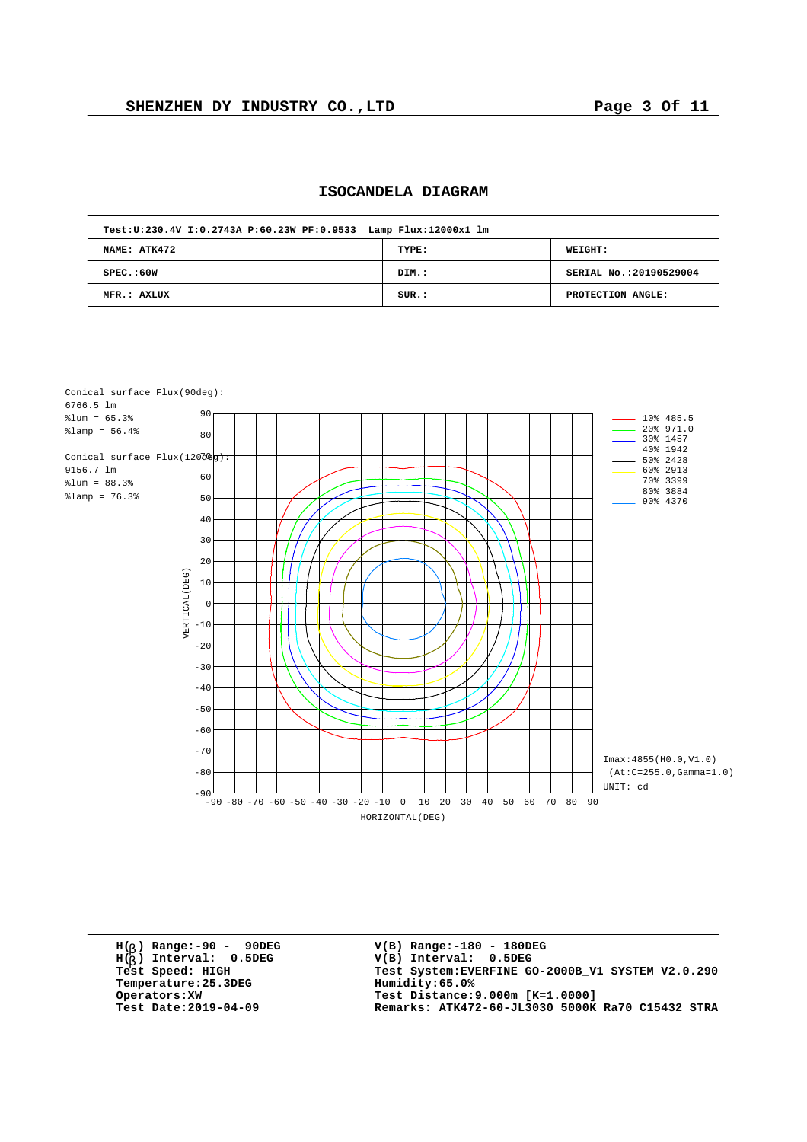## **ISOCANDELA DIAGRAM**

| Test: U: 230.4V I: 0.2743A P: 60.23W PF: 0.9533 Lamp Flux: 12000x1 lm |       |                         |  |  |  |  |  |  |  |  |
|-----------------------------------------------------------------------|-------|-------------------------|--|--|--|--|--|--|--|--|
| NAME: ATK472                                                          | TYPE: | <b>WEIGHT:</b>          |  |  |  |  |  |  |  |  |
| SPEC. : 60W                                                           | DIM.: | SERIAL No.: 20190529004 |  |  |  |  |  |  |  |  |
| MFR.: AXLUX                                                           | SUR.: | PROTECTION ANGLE:       |  |  |  |  |  |  |  |  |



**H( ) Range:-90 - 90DEG** H(<sub>b</sub>) Range:-90 - 90DE<br>H(<sub>b</sub>) Interval: 0.5DEG **b**  $Temperature:25.3DEG$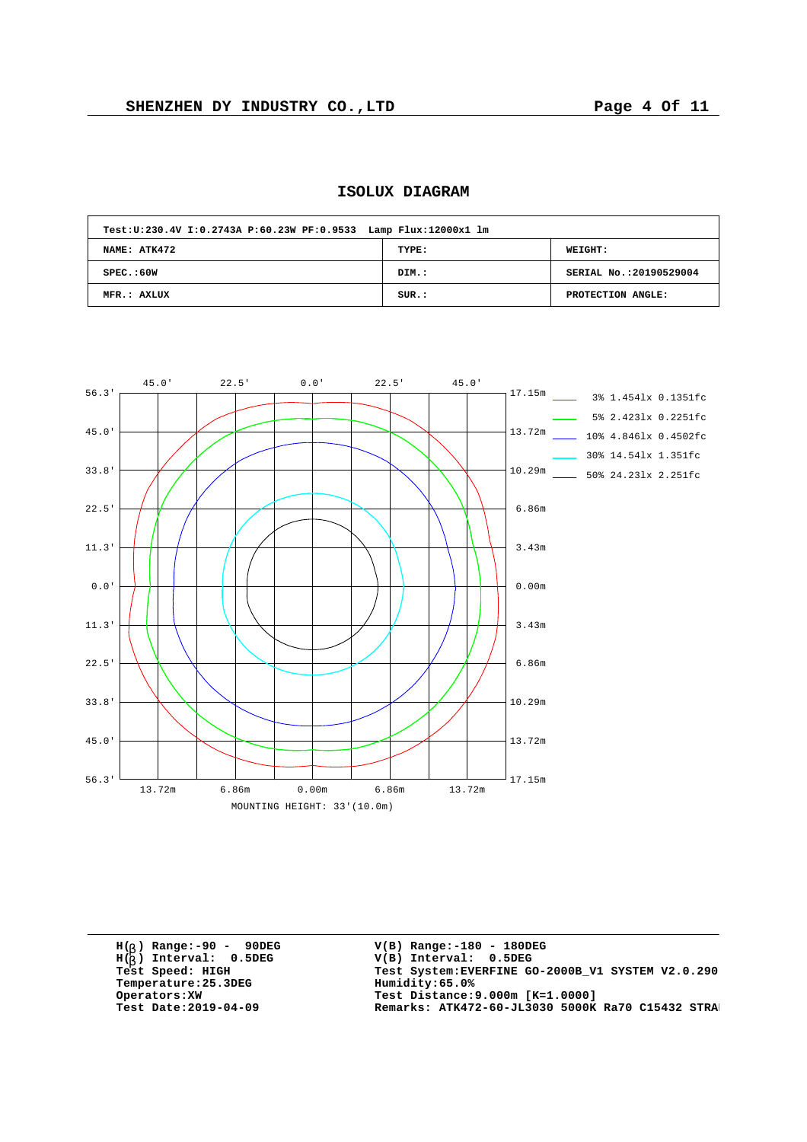| Test:U:230.4V I:0.2743A P:60.23W PF:0.9533 Lamp Flux:12000x1 lm |       |                         |
|-----------------------------------------------------------------|-------|-------------------------|
| NAME: ATK472                                                    | TYPE: | <b>WEIGHT:</b>          |
| SPEC. : 60W                                                     | DIM.: | SERIAL No.: 20190529004 |
| MFR.: AXLUX                                                     | SUR.: | PROTECTION ANGLE:       |



|       | 45.0'  | 22.5' | 0.0'                         | 22.5' | 45.0'  |        |                                |
|-------|--------|-------|------------------------------|-------|--------|--------|--------------------------------|
| 56.3' |        |       |                              |       |        | 17.15m | 3% 1.4541x 0.1351fc            |
|       |        |       |                              |       |        |        | 5% 2.4231x 0.2251fc            |
| 45.0' |        |       |                              |       |        | 13.72m |                                |
|       |        |       |                              |       |        |        | $\frac{108}{4.8461x}$ 0.4502fc |
|       |        |       |                              |       |        |        | 30% 14.541x 1.351fc            |
| 33.8' |        |       |                              |       |        | 10.29m | 50% 24.231x 2.251fc            |
|       |        |       |                              |       |        |        |                                |
| 22.5' |        |       |                              |       |        |        |                                |
|       |        |       |                              |       |        | 6.86m  |                                |
|       |        |       |                              |       |        |        |                                |
| 11.3' |        |       |                              |       |        | 3.43m  |                                |
|       |        |       |                              |       |        |        |                                |
|       |        |       |                              |       |        |        |                                |
| 0.0'  |        |       |                              |       |        | 0.00m  |                                |
|       |        |       |                              |       |        |        |                                |
| 11.3' |        |       |                              |       |        | 3.43m  |                                |
|       |        |       |                              |       |        |        |                                |
|       |        |       |                              |       |        |        |                                |
| 22.5' |        |       |                              |       |        | 6.86m  |                                |
|       |        |       |                              |       |        |        |                                |
|       |        |       |                              |       |        |        |                                |
| 33.8' |        |       |                              |       |        | 10.29m |                                |
|       |        |       |                              |       |        |        |                                |
| 45.0' |        |       |                              |       |        | 13.72m |                                |
|       |        |       |                              |       |        |        |                                |
|       |        |       |                              |       |        |        |                                |
| 56.3' | 13.72m | 6.86m | 0.00m                        | 6.86m | 13.72m | 17.15m |                                |
|       |        |       |                              |       |        |        |                                |
|       |        |       | MOUNTING HEIGHT: 33' (10.0m) |       |        |        |                                |

**H( ) Range:-90 - 90DEG** H(<sub>b</sub>) Range:-90 - 90DE<br>H(<sub>b</sub>) Interval: 0.5DEG **b**  $Temperature:25.3DEG$ <br>Operators:XW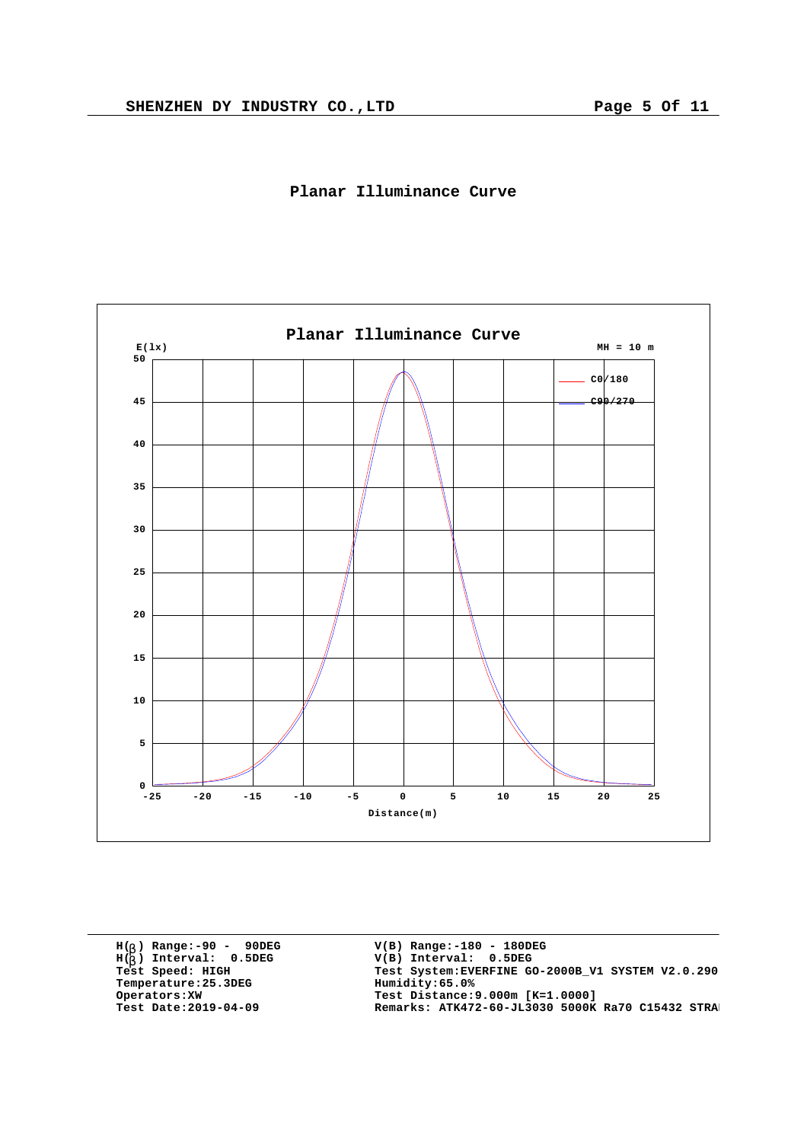



**H( ) Range:-90 - 90DEG** H(<sub>b</sub>) Range:-90 - 90DE<br>H(<sub>b</sub>) Interval: 0.5DEG **b**  $Temperature:25.3DEG$ <br>Operators:XW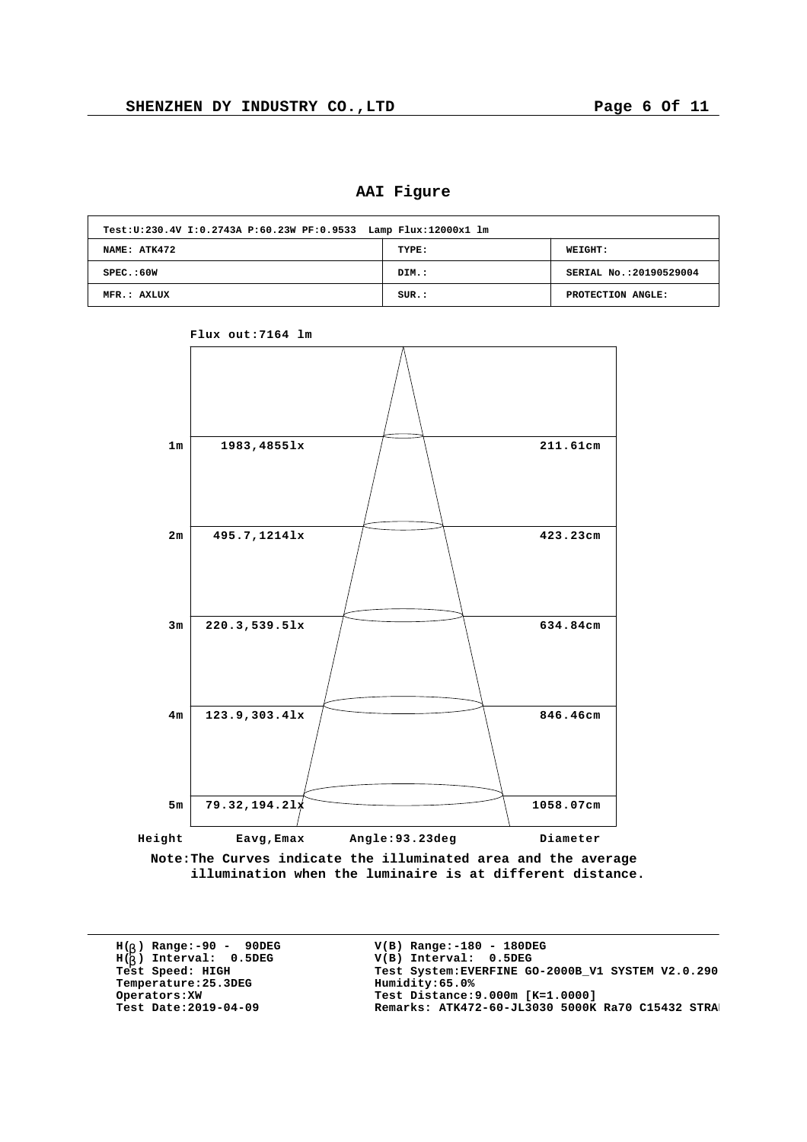**AAI Figure**

| Test: U: 230.4V I: 0.2743A P: 60.23W PF: 0.9533 Lamp Flux: 12000x1 lm |       |                        |  |  |  |  |  |  |  |  |
|-----------------------------------------------------------------------|-------|------------------------|--|--|--|--|--|--|--|--|
| NAME: ATK472                                                          | TYPE: | WEIGHT:                |  |  |  |  |  |  |  |  |
| SPEC. : 60W                                                           | DIM.: | SERIAL No.:20190529004 |  |  |  |  |  |  |  |  |
| MFR.: AXLUX                                                           | SUR.: | PROTECTION ANGLE:      |  |  |  |  |  |  |  |  |



**Flux out:7164 lm**

**Note:The Curves indicate the illuminated area and the average illumination when the luminaire is at different distance.**

**H( ) Range:-90 - 90DEG** H(<sub>b</sub>) Range:-90 - 90DE<br>H(<sub>b</sub>) Interval: 0.5DEG **b**  $Temperature:25.3DEG$ <br>Operators:XW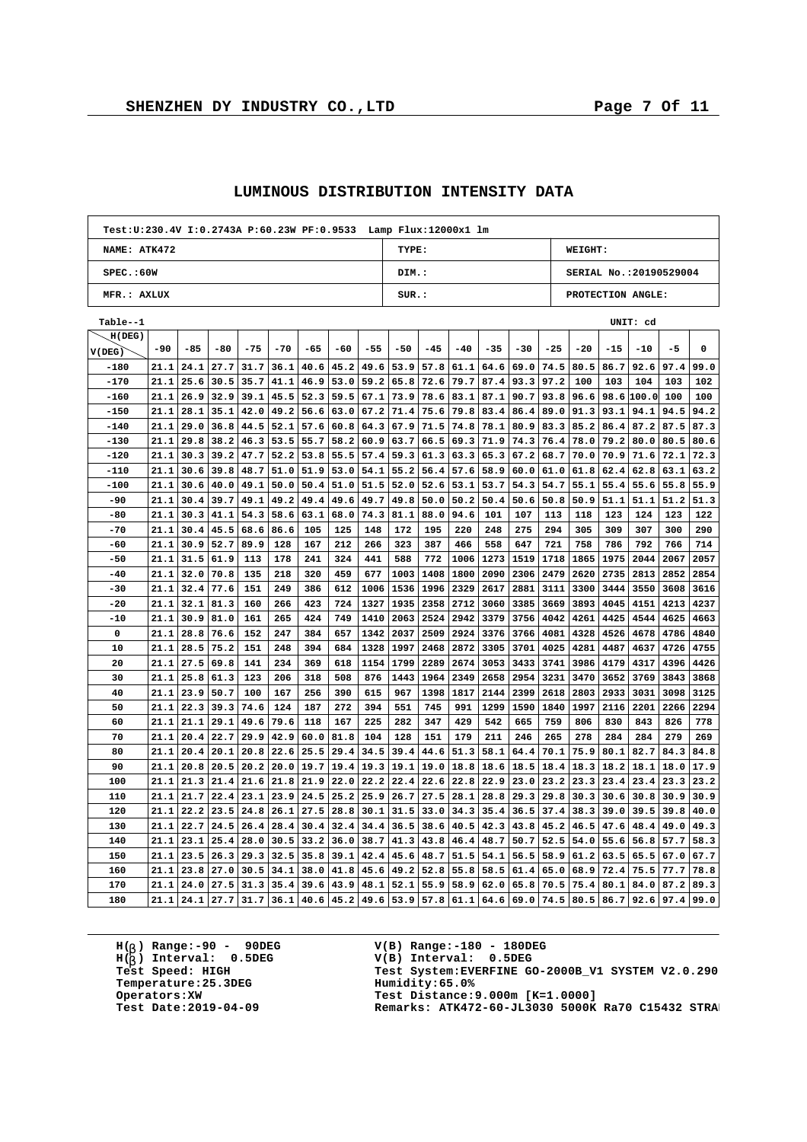$\overline{1}$ 

h

| Test: U: 230.4V I: 0.2743A P: 60.23W PF: 0.9533 Lamp Flux: 12000x1 lm |      |       |       |       |       |      |      |       |       |       |       |       |       |       |                        |             |            |      |      |
|-----------------------------------------------------------------------|------|-------|-------|-------|-------|------|------|-------|-------|-------|-------|-------|-------|-------|------------------------|-------------|------------|------|------|
| NAME: ATK472                                                          |      |       |       |       |       |      |      |       | TYPE: |       |       |       |       |       | WEIGHT:                |             |            |      |      |
| SPEC.:60W                                                             |      |       |       |       |       |      |      |       | DIM.: |       |       |       |       |       | SERIAL No.:20190529004 |             |            |      |      |
| MFR.: AXLUX                                                           |      |       |       |       |       |      |      |       | SUR.: |       |       |       |       |       | PROTECTION ANGLE:      |             |            |      |      |
| Table--1                                                              |      |       |       |       |       |      |      |       |       |       |       |       |       |       |                        |             | UNIT: cd   |      |      |
| H(DEG)                                                                |      |       |       |       |       |      |      |       |       |       |       |       |       |       |                        |             |            |      |      |
| V(DEG)                                                                | -90  | $-85$ | $-80$ | $-75$ | $-70$ | -65  | -60  | $-55$ | $-50$ | $-45$ | $-40$ | $-35$ | $-30$ | $-25$ | $-20$                  | $-15$       | $-10$      | -5   | 0    |
| $-180$                                                                | 21.1 | 24.1  | 27.7  | 31.7  | 36.1  | 40.6 | 45.2 | 49.6  | 53.9  | 57.8  | 61.1  | 64.6  | 69.0  | 74.5  | 80.5                   | 86.7        | 92.6       | 97.4 | 99.0 |
| $-170$                                                                | 21.1 | 25.6  | 30.5  | 35.7  | 41.1  | 46.9 | 53.0 | 59.2  | 65.8  | 72.6  | 79.7  | 87.4  | 93.3  | 97.2  | 100                    | 103         | 104        | 103  | 102  |
| $-160$                                                                | 21.1 | 26.9  | 32.9  | 39.1  | 45.5  | 52.3 | 59.5 | 67.1  | 73.9  | 78.6  | 83.1  | 87.1  | 90.7  | 93.8  | 96.6                   |             | 98.6 100.0 | 100  | 100  |
| $-150$                                                                | 21.1 | 28.1  | 35.1  | 42.0  | 49.2  | 56.6 | 63.0 | 67.2  | 71.4  | 75.6  | 79.8  | 83.4  | 86.4  | 89.0  |                        | $91.3$ 93.1 | 94.1       | 94.5 | 94.2 |
| $-140$                                                                | 21.1 | 29.0  | 36.8  | 44.5  | 52.1  | 57.6 | 60.8 | 64.3  | 67.9  | 71.5  | 74.8  | 78.1  | 80.9  | 83.3  | 85.2                   | 86.4        | 87.2       | 87.5 | 87.3 |
| $-130$                                                                | 21.1 | 29.8  | 38.2  | 46.3  | 53.5  | 55.7 | 58.2 | 60.9  | 63.7  | 66.5  | 69.3  | 71.9  | 74.3  | 76.4  | 78.0                   | 79.2        | 80.0       | 80.5 | 80.6 |
| $-120$                                                                | 21.1 | 30.3  | 39.2  | 47.7  | 52.2  | 53.8 | 55.5 | 57.4  | 59.3  | 61.3  | 63.3  | 65.3  | 67.2  | 68.7  | 70.0                   | 70.9        | 71.6       | 72.1 | 72.3 |
| $-110$                                                                | 21.1 | 30.6  | 39.8  | 48.7  | 51.0  | 51.9 | 53.0 | 54.1  | 55.2  | 56.4  | 57.6  | 58.9  | 60.0  | 61.0  | 61.8                   | 62.4        | 62.8       | 63.1 | 63.2 |
| $-100$                                                                | 21.1 | 30.6  | 40.0  | 49.1  | 50.0  | 50.4 | 51.0 | 51.5  | 52.0  | 52.6  | 53.1  | 53.7  | 54.3  | 54.7  | 55.1                   | 55.4        | 55.6       | 55.8 | 55.9 |
| -90                                                                   | 21.1 | 30.4  | 39.7  | 49.1  | 49.2  | 49.4 | 49.6 | 49.7  | 49.8  | 50.0  | 50.2  | 50.4  | 50.6  | 50.8  | 50.9                   | 51.1        | 51.1       | 51.2 | 51.3 |
| -80                                                                   | 21.1 | 30.3  | 41.1  | 54.3  | 58.6  | 63.1 | 68.0 | 74.3  | 81.1  | 88.0  | 94.6  | 101   | 107   | 113   | 118                    | 123         | 124        | 123  | 122  |
| $-70$                                                                 | 21.1 | 30.4  | 45.5  | 68.6  | 86.6  | 105  | 125  | 148   | 172   | 195   | 220   | 248   | 275   | 294   | 305                    | 309         | 307        | 300  | 290  |
| $-60$                                                                 | 21.1 | 30.9  | 52.7  | 89.9  | 128   | 167  | 212  | 266   | 323   | 387   | 466   | 558   | 647   | 721   | 758                    | 786         | 792        | 766  | 714  |
| $-50$                                                                 | 21.1 | 31.5  | 61.9  | 113   | 178   | 241  | 324  | 441   | 588   | 772   | 1006  | 1273  | 1519  | 1718  | 1865                   | 1975        | 2044       | 2067 | 2057 |
| $-40$                                                                 | 21.1 | 32.0  | 70.8  | 135   | 218   | 320  | 459  | 677   | 1003  | 1408  | 1800  | 2090  | 2306  | 2479  | 2620                   | 2735        | 2813       | 2852 | 2854 |
| $-30$                                                                 | 21.1 | 32.4  | 77.6  | 151   | 249   | 386  | 612  | 1006  | 1536  | 1996  | 2329  | 2617  | 2881  | 3111  | 3300                   | 3444        | 3550       | 3608 | 3616 |
| $-20$                                                                 | 21.1 | 32.1  | 81.3  | 160   | 266   | 423  | 724  | 1327  | 1935  | 2358  | 2712  | 3060  | 3385  | 3669  | 3893                   | 4045        | 4151       | 4213 | 4237 |
| -10                                                                   | 21.1 | 30.9  | 81.0  | 161   | 265   | 424  | 749  | 1410  | 2063  | 2524  | 2942  | 3379  | 3756  | 4042  | 4261                   | 4425        | 4544       | 4625 | 4663 |
| 0                                                                     | 21.1 | 28.8  | 76.6  | 152   | 247   | 384  | 657  | 1342  | 2037  | 2509  | 2924  | 3376  | 3766  | 4081  | 4328                   | 4526        | 4678       | 4786 | 4840 |
| 10                                                                    | 21.1 | 28.5  | 75.2  | 151   | 248   | 394  | 684  | 1328  | 1997  | 2468  | 2872  | 3305  | 3701  | 4025  | 4281                   | 4487        | 4637       | 4726 | 4755 |
| 20                                                                    | 21.1 | 27.5  | 69.8  | 141   | 234   | 369  | 618  | 1154  | 1799  | 2289  | 2674  | 3053  | 3433  | 3741  | 3986                   | 4179        | 4317       | 4396 | 4426 |
| 30                                                                    | 21.1 | 25.8  | 61.3  | 123   | 206   | 318  | 508  | 876   | 1443  | 1964  | 2349  | 2658  | 2954  | 3231  | 3470                   | 3652        | 3769       | 3843 | 3868 |
| 40                                                                    | 21.1 | 23.9  | 50.7  | 100   | 167   | 256  | 390  | 615   | 967   | 1398  | 1817  | 2144  | 2399  | 2618  | 2803                   | 2933        | 3031       | 3098 | 3125 |
| 50                                                                    | 21.1 | 22.3  | 39.3  | 74.6  | 124   | 187  | 272  | 394   | 551   | 745   | 991   | 1299  | 1590  | 1840  | 1997                   | 2116        | 2201       | 2266 | 2294 |
| 60                                                                    | 21.1 | 21.1  | 29.1  | 49.6  | 79.6  | 118  | 167  | 225   | 282   | 347   | 429   | 542   | 665   | 759   | 806                    | 830         | 843        | 826  | 778  |
| 70                                                                    | 21.1 | 20.4  | 22.7  | 29.9  | 42.9  | 60.0 | 81.8 | 104   | 128   | 151   | 179   | 211   | 246   | 265   | 278                    | 284         | 284        | 279  | 269  |
| 80                                                                    | 21.1 | 20.4  | 20.1  | 20.8  | 22.6  | 25.5 | 29.4 | 34.5  | 39.4  | 44.6  | 51.3  | 58.1  | 64.4  | 70.1  | 75.9                   | 80.1        | 82.7       | 84.3 | 84.8 |
| 90                                                                    | 21.1 | 20.8  | 20.5  | 20.2  | 20.0  | 19.7 | 19.4 | 19.3  | 19.1  | 19.0  | 18.8  | 18.6  | 18.5  | 18.4  | 18.3                   | 18.2        | 18.1       | 18.0 | 17.9 |
| 100                                                                   | 21.1 | 21.3  | 21.4  | 21.6  | 21.8  | 21.9 | 22.0 | 22.2  | 22.4  | 22.6  | 22.8  | 22.9  | 23.0  | 23.2  | 23.3                   | 23.4        | 23.4       | 23.3 | 23.2 |
| 110                                                                   | 21.1 | 21.7  | 22.4  | 23.1  | 23.9  | 24.5 | 25.2 | 25.9  | 26.7  | 27.5  | 28.1  | 28.8  | 29.3  | 29.8  | 30.3                   | 30.6        | 30.8       | 30.9 | 30.9 |
| 120                                                                   | 21.1 | 22.2  | 23.5  | 24.8  | 26.1  | 27.5 | 28.8 | 30.1  | 31.5  | 33.0  | 34.3  | 35.4  | 36.5  | 37.4  | 38.3                   | 39.0        | 39.5       | 39.8 | 40.0 |
| 130                                                                   | 21.1 | 22.7  | 24.5  | 26.4  | 28.4  | 30.4 | 32.4 | 34.4  | 36.5  | 38.6  | 40.5  | 42.3  | 43.8  | 45.2  | 46.5                   | 47.6        | 48.4       | 49.0 | 49.3 |
| 140                                                                   | 21.1 | 23.1  | 25.4  | 28.0  | 30.5  | 33.2 | 36.0 | 38.7  | 41.3  | 43.8  | 46.4  | 48.7  | 50.7  | 52.5  | 54.0                   | 55.6        | 56.8       | 57.7 | 58.3 |
| 150                                                                   | 21.1 | 23.5  | 26.3  | 29.3  | 32.5  | 35.8 | 39.1 | 42.4  | 45.6  | 48.7  | 51.5  | 54.1  | 56.5  | 58.9  | 61.2                   | 63.5        | 65.5       | 67.0 | 67.7 |
| 160                                                                   | 21.1 | 23.8  | 27.0  | 30.5  | 34.1  | 38.0 | 41.8 | 45.6  | 49.2  | 52.8  | 55.8  | 58.5  | 61.4  | 65.0  | 68.9                   | 72.4        | 75.5       | 77.7 | 78.8 |
| 170                                                                   | 21.1 | 24.0  | 27.5  | 31.3  | 35.4  | 39.6 | 43.9 | 48.1  | 52.1  | 55.9  | 58.9  | 62.0  | 65.8  | 70.5  | 75.4                   | 80.1        | 84.0       | 87.2 | 89.3 |
| 180                                                                   | 21.1 | 24.1  | 27.7  | 31.7  | 36.1  | 40.6 | 45.2 | 49.6  | 53.9  | 57.8  | 61.1  | 64.6  | 69.0  | 74.5  | 80.5                   | 86.7        | 92.6       | 97.4 | 99.0 |

## **LUMINOUS DISTRIBUTION INTENSITY DATA**

**H( ) Range:-90 - 90DEG** H(<sub>b</sub>) Range:-90 - 90DE<br>H(<sub>b</sub>) Interval: 0.5DEG **b Temperature: 25.3DEG**<br> **Operators: XW**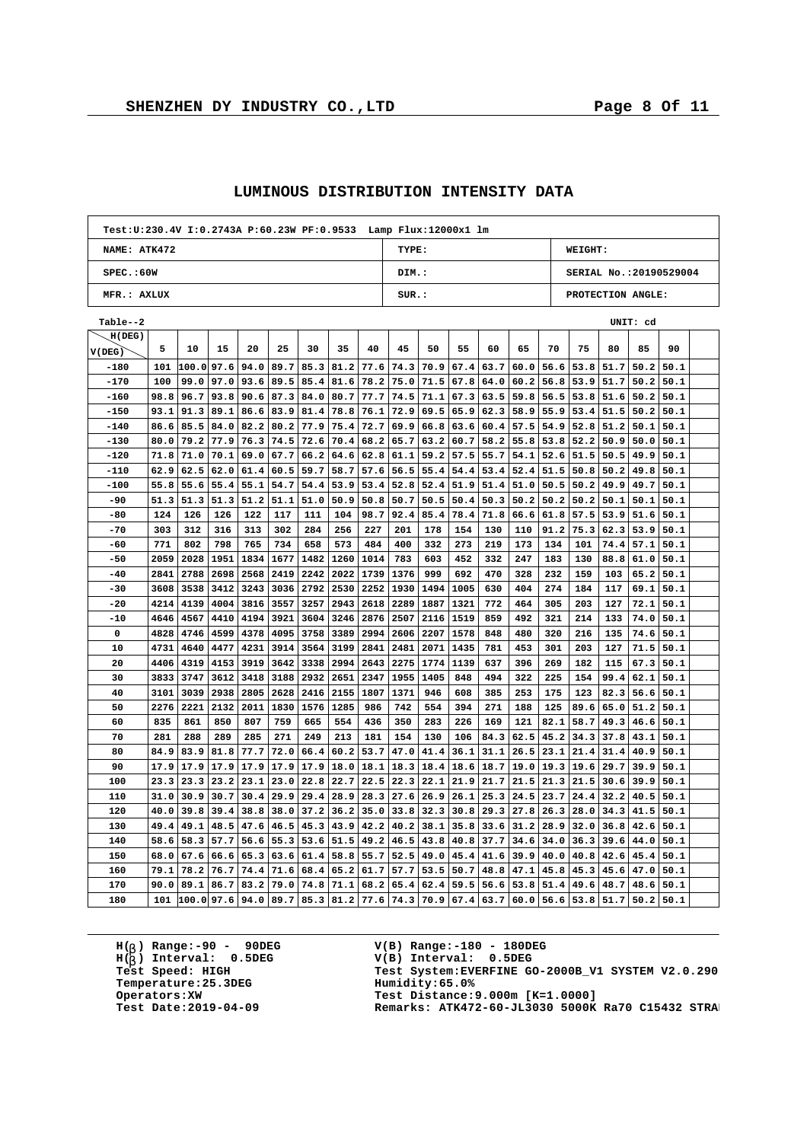$\Gamma$ 

h

| Test: U: 230.4V I: 0.2743A P: 60.23W PF: 0.9533 Lamp Flux: 12000x1 lm |      |           |      |      |      |      |      |      |       |             |      |      |                  |                  |                        |      |          |      |  |
|-----------------------------------------------------------------------|------|-----------|------|------|------|------|------|------|-------|-------------|------|------|------------------|------------------|------------------------|------|----------|------|--|
| NAME: ATK472                                                          |      |           |      |      |      |      |      |      | TYPE: |             |      |      |                  |                  | WEIGHT:                |      |          |      |  |
| SPEC.:60W                                                             |      |           |      |      |      |      |      |      | DIM.: |             |      |      |                  |                  | SERIAL No.:20190529004 |      |          |      |  |
| MFR.: AXLUX                                                           |      |           |      |      |      |      |      |      | SUR.: |             |      |      |                  |                  | PROTECTION ANGLE:      |      |          |      |  |
| Table--2                                                              |      |           |      |      |      |      |      |      |       |             |      |      |                  |                  |                        |      | UNIT: cd |      |  |
| H(DEG)                                                                |      |           |      |      |      |      |      |      |       |             |      |      |                  |                  |                        |      |          |      |  |
| V(DEG)                                                                | 5    | 10        | 15   | 20   | 25   | 30   | 35   | 40   | 45    | 50          | 55   | 60   | 65               | 70               | 75                     | 80   | 85       | 90   |  |
| $-180$                                                                | 101  | 100.097.6 |      | 94.0 | 89.7 | 85.3 | 81.2 | 77.6 | 74.3  | 70.9        | 67.4 | 63.7 | 60.0             | 56.6             | 53.8                   | 51.7 | 50.2     | 50.1 |  |
| $-170$                                                                | 100  | 99.0      | 97.0 | 93.6 | 89.5 | 85.4 | 81.6 | 78.2 | 75.0  | 71.5        | 67.8 | 64.0 | 60.2             | 56.8             | 53.9                   | 51.7 | 50.2     | 50.1 |  |
| $-160$                                                                | 98.8 | 96.7      | 93.8 | 90.6 | 87.3 | 84.0 | 80.7 | 77.7 | 74.5  | 71.1        | 67.3 |      | $63.5$ 59.8 56.5 |                  | 53.8                   | 51.6 | 50.2     | 50.1 |  |
| $-150$                                                                | 93.1 | 91.3      | 89.1 | 86.6 | 83.9 | 81.4 | 78.8 | 76.1 | 72.9  | 69.5        | 65.9 | 62.3 | 58.9             | 55.9             | 53.4                   | 51.5 | 50.2     | 50.1 |  |
| $-140$                                                                | 86.6 | 85.5      | 84.0 | 82.2 | 80.2 | 77.9 | 75.4 | 72.7 | 69.9  | 66.8        | 63.6 | 60.4 | 57.5             | 54.9             | 52.8                   | 51.2 | 50.1     | 50.1 |  |
| $-130$                                                                | 80.0 | 79.2      | 77.9 | 76.3 | 74.5 | 72.6 | 70.4 | 68.2 | 65.7  | 63.2        | 60.7 | 58.2 | 55.8             | 53.8             | 52.2                   | 50.9 | 50.0     | 50.1 |  |
| $-120$                                                                | 71.8 | 71.0      | 70.1 | 69.0 | 67.7 | 66.2 | 64.6 | 62.8 | 61.1  | 59.2        | 57.5 | 55.7 | 54.1             | 52.6             | 51.5                   | 50.5 | 49.9     | 50.1 |  |
| $-110$                                                                | 62.9 | 62.5      | 62.0 | 61.4 | 60.5 | 59.7 | 58.7 | 57.6 | 56.5  | 55.4        | 54.4 | 53.4 | 52.4             | 51.5             | 50.8                   | 50.2 | 49.8     | 50.1 |  |
| $-100$                                                                | 55.8 | 55.6      | 55.4 | 55.1 | 54.7 | 54.4 | 53.9 | 53.4 | 52.8  | 52.4        | 51.9 | 51.4 | 51.0             | 50.5             | 50.2                   | 49.9 | 49.7     | 50.1 |  |
| -90                                                                   | 51.3 | 51.3      | 51.3 | 51.2 | 51.1 | 51.0 | 50.9 | 50.8 | 50.7  | 50.5        | 50.4 | 50.3 | 50.2             | 50.2             | 50.2                   | 50.1 | 50.1     | 50.1 |  |
| $-80$                                                                 | 124  | 126       | 126  | 122  | 117  | 111  | 104  | 98.7 | 92.4  | 85.4        | 78.4 | 71.8 | 66.6             | 61.8             | 57.5                   | 53.9 | 51.6     | 50.1 |  |
| $-70$                                                                 | 303  | 312       | 316  | 313  | 302  | 284  | 256  | 227  | 201   | 178         | 154  | 130  | 110              | 91.2             | 75.3                   | 62.3 | 53.9     | 50.1 |  |
| -60                                                                   | 771  | 802       | 798  | 765  | 734  | 658  | 573  | 484  | 400   | 332         | 273  | 219  | 173              | 134              | 101                    | 74.4 | 57.1     | 50.1 |  |
| $-50$                                                                 | 2059 | 2028      | 1951 | 1834 | 1677 | 1482 | 1260 | 1014 | 783   | 603         | 452  | 332  | 247              | 183              | 130                    | 88.8 | 61.0     | 50.1 |  |
| $-40$                                                                 | 2841 | 2788      | 2698 | 2568 | 2419 | 2242 | 2022 | 1739 | 1376  | 999         | 692  | 470  | 328              | 232              | 159                    | 103  | 65.2     | 50.1 |  |
| $-30$                                                                 | 3608 | 3538      | 3412 | 3243 | 3036 | 2792 | 2530 | 2252 | 1930  | 1494        | 1005 | 630  | 404              | 274              | 184                    | 117  | 69.1     | 50.1 |  |
| $-20$                                                                 | 4214 | 4139      | 4004 | 3816 | 3557 | 3257 | 2943 | 2618 | 2289  | 1887        | 1321 | 772  | 464              | 305              | 203                    | 127  | 72.1     | 50.1 |  |
| $-10$                                                                 | 4646 | 4567      | 4410 | 4194 | 3921 | 3604 | 3246 | 2876 | 2507  | 2116        | 1519 | 859  | 492              | 321              | 214                    | 133  | 74.0     | 50.1 |  |
| 0                                                                     | 4828 | 4746      | 4599 | 4378 | 4095 | 3758 | 3389 | 2994 | 2606  | 2207        | 1578 | 848  | 480              | 320              | 216                    | 135  | 74.6     | 50.1 |  |
| 10                                                                    | 4731 | 4640      | 4477 | 4231 | 3914 | 3564 | 3199 | 2841 | 2481  | 2071        | 1435 | 781  | 453              | 301              | 203                    | 127  | 71.5     | 50.1 |  |
| 20                                                                    | 4406 | 4319      | 4153 | 3919 | 3642 | 3338 | 2994 | 2643 | 2275  | 1774        | 1139 | 637  | 396              | 269              | 182                    | 115  | 67.3     | 50.1 |  |
| 30                                                                    | 3833 | 3747      | 3612 | 3418 | 3188 | 2932 | 2651 | 2347 | 1955  | 1405        | 848  | 494  | 322              | 225              | 154                    | 99.4 | 62.1     | 50.1 |  |
| 40                                                                    | 3101 | 3039      | 2938 | 2805 | 2628 | 2416 | 2155 | 1807 | 1371  | 946         | 608  | 385  | 253              | 175              | 123                    | 82.3 | 56.6     | 50.1 |  |
| 50                                                                    | 2276 | 2221      | 2132 | 2011 | 1830 | 1576 | 1285 | 986  | 742   | 554         | 394  | 271  | 188              | 125              | 89.6                   | 65.0 | 51.2     | 50.1 |  |
| 60                                                                    | 835  | 861       | 850  | 807  | 759  | 665  | 554  | 436  | 350   | 283         | 226  | 169  | 121              | 82.1             | 58.7                   | 49.3 | 46.6     | 50.1 |  |
| 70                                                                    | 281  | 288       | 289  | 285  | 271  | 249  | 213  | 181  | 154   | 130         | 106  | 84.3 | 62.5             | 45.2             | 34.3                   | 37.8 | 43.1     | 50.1 |  |
| 80                                                                    | 84.9 | 83.9      | 81.8 | 77.7 | 72.0 | 66.4 | 60.2 | 53.7 | 47.0  | 41.4        | 36.1 | 31.1 | 26.5             | 23.1             | 21.4                   | 31.4 | 40.9     | 50.1 |  |
| 90                                                                    | 17.9 | 17.9      | 17.9 | 17.9 | 17.9 | 17.9 | 18.0 | 18.1 | 18.3  | 18.4        | 18.6 | 18.7 | 19.0             | 19.3             | 19.6                   | 29.7 | 39.9     | 50.1 |  |
| 100                                                                   | 23.3 | 23.3      | 23.2 | 23.1 | 23.0 | 22.8 | 22.7 | 22.5 | 22.3  | 22.1        | 21.9 | 21.7 | 21.5             | 21.3             | 21.5                   | 30.6 | 39.9     | 50.1 |  |
| 110                                                                   | 31.0 | 30.9      | 30.7 | 30.4 | 29.9 | 29.4 | 28.9 | 28.3 | 27.6  | 26.9        | 26.1 | 25.3 | 24.5             | 23.7             | 24.4                   | 32.2 | 40.5     | 50.1 |  |
| 120                                                                   | 40.0 | 39.8      | 39.4 | 38.8 | 38.0 | 37.2 | 36.2 | 35.0 | 33.8  | 32.3        | 30.8 | 29.3 | 27.8             | 26.3             | 28.0                   | 34.3 | 41.5     | 50.1 |  |
| 130                                                                   | 49.4 | 49.1      | 48.5 | 47.6 | 46.5 | 45.3 | 43.9 | 42.2 |       | $40.2$ 38.1 | 35.8 |      | $33.6$   31.2    | 28.9             | 32.0                   | 36.8 | 42.6     | 50.1 |  |
| 140                                                                   | 58.6 | 58.3      | 57.7 | 56.6 | 55.3 | 53.6 | 51.5 | 49.2 | 46.5  | 43.8        | 40.8 | 37.7 | 34.6             | 34.0             | 36.3                   | 39.6 | 44.0     | 50.1 |  |
| 150                                                                   | 68.0 | 67.6      | 66.6 | 65.3 | 63.6 | 61.4 | 58.8 | 55.7 | 52.5  | 49.0        | 45.4 | 41.6 | 39.9             | 40.0             | 40.8                   | 42.6 | 45.4     | 50.1 |  |
| 160                                                                   | 79.1 | 78.2      | 76.7 | 74.4 | 71.6 | 68.4 | 65.2 | 61.7 | 57.7  | 53.5        | 50.7 | 48.8 | 47.1             | 45.8             | 45.3                   | 45.6 | 47.0     | 50.1 |  |
| 170                                                                   | 90.0 | 89.1      | 86.7 | 83.2 | 79.0 | 74.8 | 71.1 | 68.2 | 65.4  | 62.4        | 59.5 | 56.6 | 53.8             | 51.4             | 49.6                   | 48.7 | 48.6     | 50.1 |  |
| 180                                                                   | 101  | 100.097.6 |      | 94.0 | 89.7 | 85.3 | 81.2 | 77.6 |       | 74.3 70.9   | 67.4 | 63.7 |                  | $60.0$ 56.6 53.8 |                        | 51.7 | 50.2     | 50.1 |  |
|                                                                       |      |           |      |      |      |      |      |      |       |             |      |      |                  |                  |                        |      |          |      |  |

## **LUMINOUS DISTRIBUTION INTENSITY DATA**

**H( ) Range:-90 - 90DEG** H(<sub>b</sub>) Range:-90 - 90DE<br>H(<sub>b</sub>) Interval: 0.5DEG **b Temperature: 25.3DEG**<br> **Operators: XW**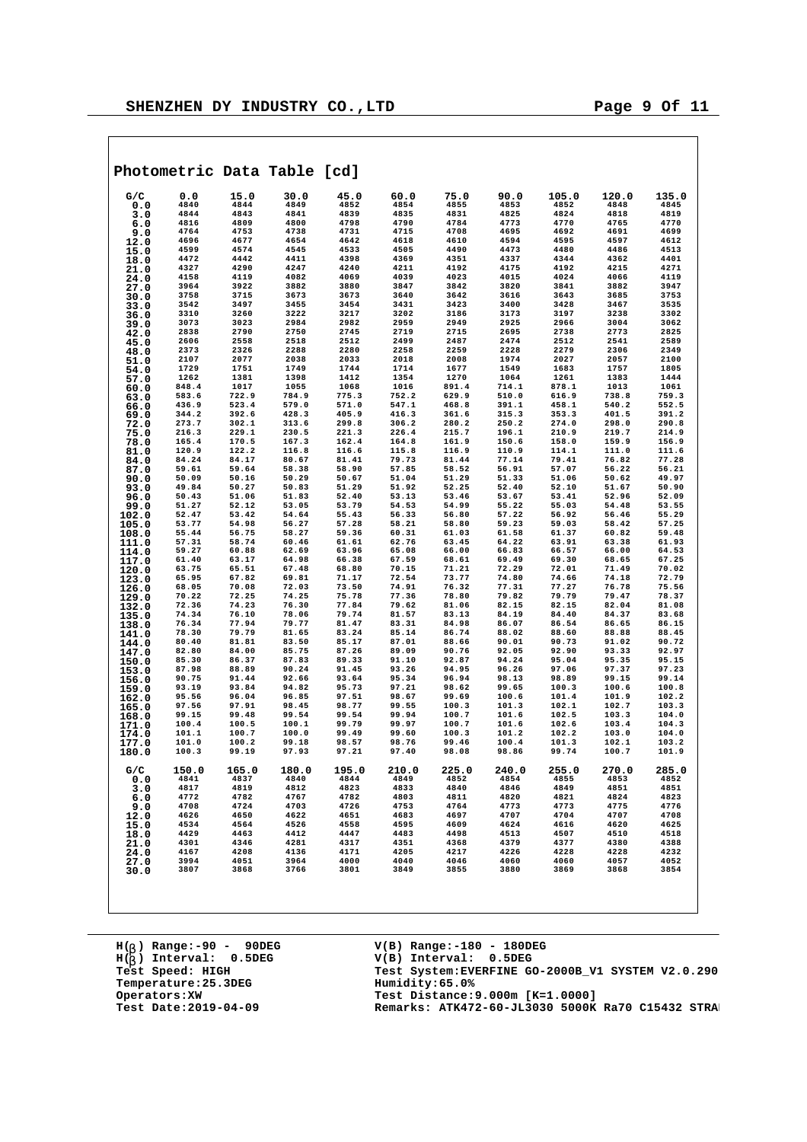|                |                |                | Photometric Data Table [cd] |                |                |                |                |                |                |                |
|----------------|----------------|----------------|-----------------------------|----------------|----------------|----------------|----------------|----------------|----------------|----------------|
| G/C            | 0.0            | 15.0           | 30.0                        | 45.0           | 60.0           | 75.0           | 90.0           | 105.0          | 120.0          | 135.0          |
| 0.0            | 4840           | 4844           | 4849                        | 4852           | 4854           | 4855           | 4853           | 4852           | 4848           | 4845           |
| 3.0            | 4844           | 4843           | 4841                        | 4839           | 4835<br>4790   | 4831           | 4825           | 4824           | 4818           | 4819           |
| 6.0            | 4816<br>4764   | 4809<br>4753   | 4800<br>4738                | 4798<br>4731   | 4715           | 4784<br>4708   | 4773<br>4695   | 4770<br>4692   | 4765<br>4691   | 4770<br>4699   |
| 9.0            | 4696           | 4677           | 4654                        | 4642           | 4618           | 4610           | 4594           | 4595           | 4597           | 4612           |
| 12.0<br>15.0   | 4599           | 4574           | 4545                        | 4533           | 4505           | 4490           | 4473           | 4480           | 4486           | 4513           |
| 18.0           | 4472           | 4442           | 4411                        | 4398           | 4369           | 4351           | 4337           | 4344           | 4362           | 4401           |
| 21.0           | 4327           | 4290           | 4247                        | 4240           | 4211           | 4192           | 4175           | 4192           | 4215           | 4271           |
| 24.0           | 4158           | 4119           | 4082                        | 4069           | 4039           | 4023           | 4015           | 4024           | 4066           | 4119           |
| 27.0           | 3964           | 3922           | 3882                        | 3880           | 3847           | 3842           | 3820           | 3841           | 3882           | 3947           |
| 30.0           | 3758           | 3715           | 3673                        | 3673           | 3640           | 3642           | 3616           | 3643           | 3685           | 3753           |
| 33.0           | 3542           | 3497           | 3455                        | 3454           | 3431           | 3423           | 3400           | 3428           | 3467           | 3535           |
| 36.0           | 3310           | 3260           | 3222                        | 3217           | 3202           | 3186           | 3173           | 3197           | 3238           | 3302           |
| 39.0           | 3073           | 3023           | 2984                        | 2982           | 2959           | 2949           | 2925           | 2966           | 3004           | 3062           |
| 42.0           | 2838           | 2790           | 2750                        | 2745           | 2719           | 2715           | 2695           | 2738           | 2773           | 2825           |
| 45.0           | 2606<br>2373   | 2558<br>2326   | 2518<br>2288                | 2512<br>2280   | 2499<br>2258   | 2487<br>2259   | 2474<br>2228   | 2512<br>2279   | 2541<br>2306   | 2589<br>2349   |
| 48.0           | 2107           | 2077           | 2038                        | 2033           | 2018           | 2008           | 1974           | 2027           | 2057           | 2100           |
| 51.0           | 1729           | 1751           | 1749                        | 1744           | 1714           | 1677           | 1549           | 1683           | 1757           | 1805           |
| 54.0<br>57.0   | 1262           | 1381           | 1398                        | 1412           | 1354           | 1270           | 1064           | 1261           | 1383           | 1444           |
| 60.0           | 848.4          | 1017           | 1055                        | 1068           | 1016           | 891.4          | 714.1          | 878.1          | 1013           | 1061           |
| 63.0           | 583.6          | 722.9          | 784.9                       | 775.3          | 752.2          | 629.9          | 510.0          | 616.9          | 738.8          | 759.3          |
| 66.0           | 436.9          | 523.4          | 579.0                       | 571.0          | 547.1          | 468.8          | 391.1          | 458.1          | 540.2          | 552.5          |
| 69.0           | 344.2          | 392.6          | 428.3                       | 405.9          | 416.3          | 361.6          | 315.3          | 353.3          | 401.5          | 391.2          |
| 72.0           | 273.7          | 302.1          | 313.6                       | 299.8          | 306.2          | 280.2          | 250.2          | 274.0          | 298.0          | 290.8          |
| 75.0           | 216.3          | 229.1          | 230.5                       | 221.3          | 226.4          | 215.7          | 196.1          | 210.9          | 219.7          | 214.9          |
| 78.0           | 165.4          | 170.5          | 167.3                       | 162.4          | 164.8          | 161.9          | 150.6          | 158.0          | 159.9          | 156.9          |
| 81.0           | 120.9          | 122.2          | 116.8                       | 116.6          | 115.8          | 116.9          | 110.9          | 114.1          | 111.0          | 111.6          |
| 84.0           | 84.24          | 84.17          | 80.67                       | 81.41          | 79.73          | 81.44          | 77.14          | 79.41          | 76.82          | 77.28          |
| 87.0           | 59.61          | 59.64<br>50.16 | 58.38<br>50.29              | 58.90<br>50.67 | 57.85          | 58.52          | 56.91          | 57.07<br>51.06 | 56.22<br>50.62 | 56.21          |
| 90.0           | 50.09<br>49.84 | 50.27          | 50.83                       | 51.29          | 51.04<br>51.92 | 51.29<br>52.25 | 51.33<br>52.40 | 52.10          | 51.67          | 49.97<br>50.90 |
| 93.0           | 50.43          | 51.06          | 51.83                       | 52.40          | 53.13          | 53.46          | 53.67          | 53.41          | 52.96          | 52.09          |
| 96.0<br>99.0   | 51.27          | 52.12          | 53.05                       | 53.79          | 54.53          | 54.99          | 55.22          | 55.03          | 54.48          | 53.55          |
| 102.0          | 52.47          | 53.42          | 54.64                       | 55.43          | 56.33          | 56.80          | 57.22          | 56.92          | 56.46          | 55.29          |
| 105.0          | 53.77          | 54.98          | 56.27                       | 57.28          | 58.21          | 58.80          | 59.23          | 59.03          | 58.42          | 57.25          |
| 108.0          | 55.44          | 56.75          | 58.27                       | 59.36          | 60.31          | 61.03          | 61.58          | 61.37          | 60.82          | 59.48          |
| 111.0          | 57.31          | 58.74          | 60.46                       | 61.61          | 62.76          | 63.45          | 64.22          | 63.91          | 63.38          | 61.93          |
| 114.0          | 59.27          | 60.88          | 62.69                       | 63.96          | 65.08          | 66.00          | 66.83          | 66.57          | 66.00          | 64.53          |
| 117.0          | 61.40          | 63.17          | 64.98                       | 66.38          | 67.59          | 68.61          | 69.49          | 69.30          | 68.65          | 67.25          |
| 120.0          | 63.75          | 65.51          | 67.48                       | 68.80          | 70.15          | 71.21          | 72.29          | 72.01          | 71.49          | 70.02          |
| 123.0          | 65.95          | 67.82          | 69.81                       | 71.17          | 72.54          | 73.77          | 74.80          | 74.66          | 74.18          | 72.79          |
| 126.0          | 68.05          | 70.08          | 72.03                       | 73.50          | 74.91          | 76.32          | 77.31          | 77.27          | 76.78          | 75.56          |
| 129.0          | 70.22<br>72.36 | 72.25<br>74.23 | 74.25<br>76.30              | 75.78<br>77.84 | 77.36<br>79.62 | 78.80<br>81.06 | 79.82<br>82.15 | 79.79<br>82.15 | 79.47<br>82.04 | 78.37<br>81.08 |
| 132.0          | 74.34          | 76.10          | 78.06                       | 79.74          | 81.57          | 83.13          | 84.19          | 84.40          | 84.37          | 83.68          |
| 135.0<br>138.0 | 76.34          | 77.94          | 79.77                       | 81.47          | 83.31          | 84.98          | 86.07          | 86.54          | 86.65          | 86.15          |
| 141.0          | 78.30          | 79.79          | 81.65                       | 83.24          | 85.14          | 86.74          | 88.02          | 88.60          | 88.88          | 88.45          |
| 144.0          | 80.40          | 81.81          | 83.50                       | 85.17          | 87.01          | 88.66          | 90.01          | 90.73          | 91.02          | 90.72          |
| 147.0          | 82.80          | 84.00          | 85.75                       | 87.26          | 89.09          | 90.76          | 92.05          | 92.90          | 93.33          | 92.97          |
| 150.0          | 85.30          | 86.37          | 87.83                       | 89.33          | 91.10          | 92.87          | 94.24          | 95.04          | 95.35          | 95.15          |
| 153.0          | 87.98          | 88.89          | 90.24                       | 91.45          | 93.26          | 94.95          | 96.26          | 97.06          | 97.37          | 97.23          |
| 156.0          | 90.75          | 91.44          | 92.66                       | 93.64          | 95.34          | 96.94          | 98.13          | 98.89          | 99.15          | 99.14          |
| 159.0          | 93.19          | 93.84          | 94.82                       | 95.73          | 97.21          | 98.62          | 99.65          | 100.3          | 100.6          | 100.8          |
| 162.0          | 95.56          | 96.04          | 96.85                       | 97.51          | 98.67          | 99.69          | 100.6          | 101.4          | 101.9          | 102.2<br>103.3 |
| 165.0          | 97.56          | 97.91          | 98.45<br>99.54              | 98.77          | 99.55<br>99.94 | 100.3<br>100.7 | 101.3          | 102.1<br>102.5 | 102.7          | 104.0          |
| 168.0          | 99.15<br>100.4 | 99.48<br>100.5 | 100.1                       | 99.54<br>99.79 | 99.97          | 100.7          | 101.6<br>101.6 | 102.6          | 103.3<br>103.4 | 104.3          |
| 171.0<br>174.0 | 101.1          | 100.7          | 100.0                       | 99.49          | 99.60          | 100.3          | 101.2          | 102.2          | 103.0          | 104.0          |
| 177.0          | 101.0          | 100.2          | 99.18                       | 98.57          | 98.76          | 99.46          | 100.4          | 101.3          | 102.1          | 103.2          |
| 180.0          | 100.3          | 99.19          | 97.93                       | 97.21          | 97.40          | 98.08          | 98.86          | 99.74          | 100.7          | 101.9          |
| G/C            | 150.0          | 165.0          | 180.0                       | 195.0          | 210.0          | 225.0          | 240.0          | 255.0          | 270.0          | 285.0          |
| 0.0            | 4841<br>4817   | 4837<br>4819   | 4840<br>4812                | 4844<br>4823   | 4849<br>4833   | 4852<br>4840   | 4854<br>4846   | 4855<br>4849   | 4853<br>4851   | 4852<br>4851   |
| 3.0<br>6.0     | 4772           | 4782           | 4767                        | 4782           | 4803           | 4811           | 4820           | 4821           | 4824           | 4823           |
| 9.0            | 4708           | 4724           | 4703                        | 4726           | 4753           | 4764           | 4773           | 4773           | 4775           | 4776           |
| 12.0           | 4626           | 4650           | 4622                        | 4651           | 4683           | 4697           | 4707           | 4704           | 4707           | 4708           |
| 15.0           | 4534           | 4564           | 4526                        | 4558           | 4595           | 4609           | 4624           | 4616           | 4620           | 4625           |
| 18.0           | 4429           | 4463           | 4412                        | 4447           | 4483           | 4498           | 4513           | 4507           | 4510           | 4518           |
| 21.0           | 4301           | 4346           | 4281                        | 4317           | 4351           | 4368           | 4379           | 4377           | 4380           | 4388           |
| 24.0           | 4167           | 4208           | 4136                        | 4171           | 4205           | 4217           | 4226           | 4228           | 4228           | 4232           |
| 27.0           | 3994           | 4051           | 3964                        | 4000           | 4040           | 4046           | 4060           | 4060           | 4057           | 4052           |
| 30.0           | 3807           | 3868           | 3766                        | 3801           | 3849           | 3855           | 3880           | 3869           | 3868           | 3854           |
|                |                |                |                             |                |                |                |                |                |                |                |

**H( ) Range:-90 - 90DEG H( ) Interval: 0.5DEG b Temperature: 25.3DEG**<br> **Operators: XW**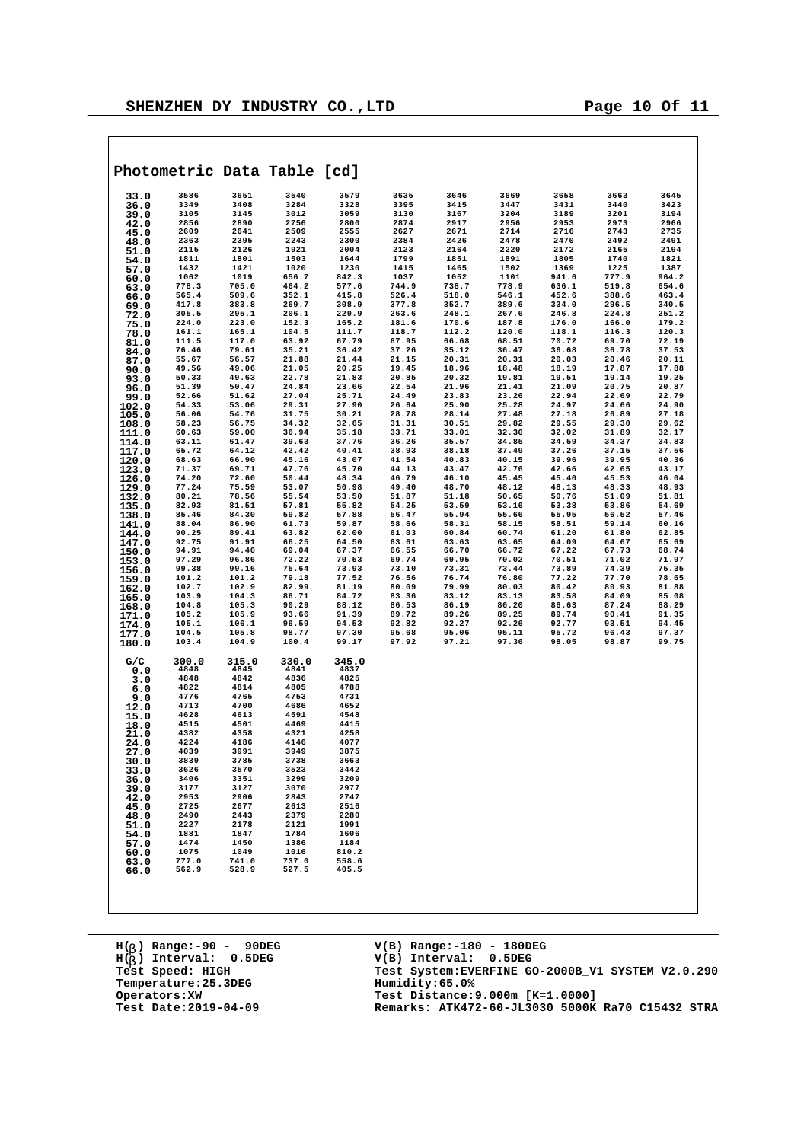|                | Photometric Data Table [cd] |                |                |                |                |                |                |                |                |                |
|----------------|-----------------------------|----------------|----------------|----------------|----------------|----------------|----------------|----------------|----------------|----------------|
| 33.0           | 3586                        | 3651           | 3540           | 3579           | 3635           | 3646           | 3669           | 3658           | 3663           | 3645           |
| 36.0           | 3349                        | 3408           | 3284           | 3328           | 3395           | 3415           | 3447           | 3431           | 3440           | 3423           |
| 39.0           | 3105<br>2856                | 3145<br>2890   | 3012<br>2756   | 3059<br>2800   | 3130<br>2874   | 3167<br>2917   | 3204<br>2956   | 3189<br>2953   | 3201<br>2973   | 3194<br>2966   |
| 42.0<br>45.0   | 2609                        | 2641           | 2509           | 2555           | 2627           | 2671           | 2714           | 2716           | 2743           | 2735           |
| 48.0           | 2363                        | 2395           | 2243           | 2300           | 2384           | 2426           | 2478           | 2470           | 2492           | 2491           |
| 51.0           | 2115                        | 2126           | 1921           | 2004           | 2123           | 2164           | 2220           | 2172           | 2165           | 2194           |
| 54.0           | 1811                        | 1801           | 1503           | 1644           | 1799           | 1851           | 1891           | 1805           | 1740           | 1821           |
| 57.0           | 1432                        | 1421           | 1020           | 1230           | 1415           | 1465           | 1502           | 1369           | 1225           | 1387           |
| 60.0           | 1062                        | 1019           | 656.7          | 842.3          | 1037           | 1052           | 1101           | 941.6          | 777.9          | 964.2          |
| 63.0           | 778.3                       | 705.0          | 464.2          | 577.6          | 744.9          | 738.7          | 778.9          | 636.1          | 519.8          | 654.6          |
| 66.0           | 565.4<br>417.8              | 509.6<br>383.8 | 352.1<br>269.7 | 415.8<br>308.9 | 526.4<br>377.8 | 518.0<br>352.7 | 546.1<br>389.6 | 452.6<br>334.0 | 388.6<br>296.5 | 463.4<br>340.5 |
| 69.0<br>72.0   | 305.5                       | 295.1          | 206.1          | 229.9          | 263.6          | 248.1          | 267.6          | 246.8          | 224.8          | 251.2          |
| 75.0           | 224.0                       | 223.0          | 152.3          | 165.2          | 181.6          | 170.6          | 187.8          | 176.0          | 166.0          | 179.2          |
| 78.0           | 161.1                       | 165.1          | 104.5          | 111.7          | 118.7          | 112.2          | 120.0          | 118.1          | 116.3          | 120.3          |
| 81.0           | 111.5                       | 117.0          | 63.92          | 67.79          | 67.95          | 66.68          | 68.51          | 70.72          | 69.70          | 72.19          |
| 84.0           | 76.46                       | 79.61          | 35.21          | 36.42          | 37.26          | 35.12          | 36.47          | 36.68          | 36.78          | 37.53          |
| 87.0           | 55.67                       | 56.57          | 21.88          | 21.44          | 21.15          | 20.31          | 20.31          | 20.03          | 20.46          | 20.11          |
| 90.0           | 49.56<br>50.33              | 49.06<br>49.63 | 21.05<br>22.78 | 20.25<br>21.83 | 19.45<br>20.85 | 18.96<br>20.32 | 18.48<br>19.81 | 18.19<br>19.51 | 17.87<br>19.14 | 17.88<br>19.25 |
| 93.0<br>96.0   | 51.39                       | 50.47          | 24.84          | 23.66          | 22.54          | 21.96          | 21.41          | 21.09          | 20.75          | 20.87          |
| 99.0           | 52.66                       | 51.62          | 27.04          | 25.71          | 24.49          | 23.83          | 23.26          | 22.94          | 22.69          | 22.79          |
| 102.0          | 54.33                       | 53.06          | 29.31          | 27.90          | 26.64          | 25.90          | 25.28          | 24.97          | 24.66          | 24.90          |
| 105.0          | 56.06                       | 54.76          | 31.75          | 30.21          | 28.78          | 28.14          | 27.48          | 27.18          | 26.89          | 27.18          |
| 108.0          | 58.23                       | 56.75          | 34.32          | 32.65          | 31.31          | 30.51          | 29.82          | 29.55          | 29.30          | 29.62          |
| 111.0          | 60.63                       | 59.00          | 36.94          | 35.18          | 33.71          | 33.01          | 32.30          | 32.02          | 31.89          | 32.17          |
| 114.0          | 63.11                       | 61.47          | 39.63          | 37.76          | 36.26          | 35.57          | 34.85          | 34.59          | 34.37          | 34.83          |
| 117.0          | 65.72<br>68.63              | 64.12<br>66.90 | 42.42<br>45.16 | 40.41<br>43.07 | 38.93<br>41.54 | 38.18<br>40.83 | 37.49<br>40.15 | 37.26<br>39.96 | 37.15<br>39.95 | 37.56<br>40.36 |
| 120.0<br>123.0 | 71.37                       | 69.71          | 47.76          | 45.70          | 44.13          | 43.47          | 42.76          | 42.66          | 42.65          | 43.17          |
| 126.0          | 74.20                       | 72.60          | 50.44          | 48.34          | 46.79          | 46.10          | 45.45          | 45.40          | 45.53          | 46.04          |
| 129.0          | 77.24                       | 75.59          | 53.07          | 50.98          | 49.40          | 48.70          | 48.12          | 48.13          | 48.33          | 48.93          |
| 132.0          | 80.21                       | 78.56          | 55.54          | 53.50          | 51.87          | 51.18          | 50.65          | 50.76          | 51.09          | 51.81          |
| 135.0          | 82.93                       | 81.51          | 57.81          | 55.82          | 54.25          | 53.59          | 53.16          | 53.38          | 53.86          | 54.69          |
| 138.0          | 85.46                       | 84.30          | 59.82          | 57.88          | 56.47          | 55.94          | 55.66          | 55.95          | 56.52          | 57.46          |
| 141.0          | 88.04<br>90.25              | 86.90<br>89.41 | 61.73<br>63.82 | 59.87<br>62.00 | 58.66<br>61.03 | 58.31<br>60.84 | 58.15<br>60.74 | 58.51<br>61.20 | 59.14<br>61.80 | 60.16<br>62.85 |
| 144.0<br>147.0 | 92.75                       | 91.91          | 66.25          | 64.50          | 63.61          | 63.63          | 63.65          | 64.09          | 64.67          | 65.69          |
| 150.0          | 94.91                       | 94.40          | 69.04          | 67.37          | 66.55          | 66.70          | 66.72          | 67.22          | 67.73          | 68.74          |
| 153.0          | 97.29                       | 96.86          | 72.22          | 70.53          | 69.74          | 69.95          | 70.02          | 70.51          | 71.02          | 71.97          |
| 156.0          | 99.38                       | 99.16          | 75.64          | 73.93          | 73.10          | 73.31          | 73.44          | 73.89          | 74.39          | 75.35          |
| 159.0          | 101.2                       | 101.2          | 79.18          | 77.52          | 76.56          | 76.74          | 76.80          | 77.22          | 77.70          | 78.65          |
| 162.0          | 102.7                       | 102.9          | 82.99          | 81.19          | 80.09          | 79.99          | 80.03          | 80.42          | 80.93          | 81.88          |
| 165.0          | 103.9<br>104.8              | 104.3<br>105.3 | 86.71<br>90.29 | 84.72<br>88.12 | 83.36<br>86.53 | 83.12<br>86.19 | 83.13<br>86.20 | 83.58<br>86.63 | 84.09<br>87.24 | 85.08<br>88.29 |
| 168.0<br>171.0 | 105.2                       | 105.9          | 93.66          | 91.39          | 89.72          | 89.26          | 89.25          | 89.74          | 90.41          | 91.35          |
| 174.0          | 105.1                       | 106.1          | 96.59          | 94.53          | 92.82          | 92.27          | 92.26          | 92.77          | 93.51          | 94.45          |
| 177.0          | 104.5                       | 105.8          | 98.77          | 97.30          | 95.68          | 95.06          | 95.11          | 95.72          | 96.43          | 97.37          |
| 180.0          | 103.4                       | 104.9          | 100.4          | 99.17          | 97.92          | 97.21          | 97.36          | 98.05          | 98.87          | 99.75          |
| G/C            | 300.0                       | 315.0          | 330.0          | 345.0          |                |                |                |                |                |                |
| 0.0            | 4848                        | 4845           | 4841           | 4837           |                |                |                |                |                |                |
| 3.0            | 4848<br>4822                | 4842<br>4814   | 4836<br>4805   | 4825<br>4788   |                |                |                |                |                |                |
| 6.0            | 4776                        | 4765           | 4753           | 4731           |                |                |                |                |                |                |
| 9.0<br>12.0    | 4713                        | 4700           | 4686           | 4652           |                |                |                |                |                |                |
| 15.0           | 4628                        | 4613           | 4591           | 4548           |                |                |                |                |                |                |
| 18.0           | 4515                        | 4501           | 4469           | 4415           |                |                |                |                |                |                |
| 21.0           | 4382                        | 4358           | 4321           | 4258           |                |                |                |                |                |                |
| 24.0           | 4224                        | 4186           | 4146           | 4077           |                |                |                |                |                |                |
| 27.0           | 4039                        | 3991           | 3949           | 3875           |                |                |                |                |                |                |
| 30.0           | 3839                        | 3785           | 3738           | 3663           |                |                |                |                |                |                |
| 33.0           | 3626<br>3406                | 3570<br>3351   | 3523<br>3299   | 3442<br>3209   |                |                |                |                |                |                |
| 36.0<br>39.0   | 3177                        | 3127           | 3070           | 2977           |                |                |                |                |                |                |
| 42.0           | 2953                        | 2906           | 2843           | 2747           |                |                |                |                |                |                |
| 45.0           | 2725                        | 2677           | 2613           | 2516           |                |                |                |                |                |                |
| 48.0           | 2490                        | 2443           | 2379           | 2280           |                |                |                |                |                |                |
| 51.0           | 2227                        | 2178           | 2121           | 1991           |                |                |                |                |                |                |
| 54.0           | 1881                        | 1847           | 1784           | 1606           |                |                |                |                |                |                |
| 57.0           | 1474                        | 1450           | 1386           | 1184           |                |                |                |                |                |                |
| 60.0           | 1075<br>777.0               | 1049<br>741.0  | 1016<br>737.0  | 810.2<br>558.6 |                |                |                |                |                |                |
| 63.0<br>66.0   | 562.9                       | 528.9          | 527.5          | 405.5          |                |                |                |                |                |                |
|                |                             |                |                |                |                |                |                |                |                |                |

**H( ) Range:-90 - 90DEG** H(<sub>b</sub>) Range:-90 - 90DE<br>H(<sub>b</sub>) Interval: 0.5DEG **b Temperature: 25.3DEG**<br> **Operators: XW**